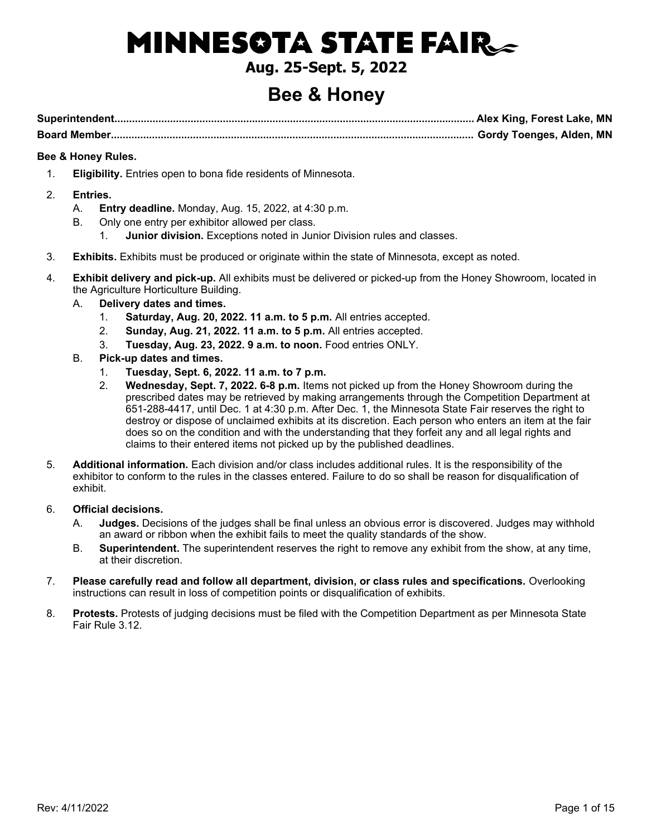# **MINNESOTA STATE FAIR\_**

### **Aug. 25-Sept. 5, 2022**

## **Bee & Honey**

**Superintendent........................................................................................................................... Alex King, Forest Lake, MN Board Member............................................................................................................................ Gordy Toenges, Alden, MN**

### **Bee & Honey Rules.**

- 1. **Eligibility.** Entries open to bona fide residents of Minnesota.
- 2. **Entries.**
	- A. **Entry deadline.** Monday, Aug. 15, 2022, at 4:30 p.m.
	- B. Only one entry per exhibitor allowed per class.
		- 1. **Junior division.** Exceptions noted in Junior Division rules and classes.
- 3. **Exhibits.** Exhibits must be produced or originate within the state of Minnesota, except as noted.
- 4. **Exhibit delivery and pick-up.** All exhibits must be delivered or picked-up from the Honey Showroom, located in the Agriculture Horticulture Building.
	- A. **Delivery dates and times.**
		- 1. **Saturday, Aug. 20, 2022. 11 a.m. to 5 p.m.** All entries accepted.
		- 2. **Sunday, Aug. 21, 2022. 11 a.m. to 5 p.m.** All entries accepted.
		- 3. **Tuesday, Aug. 23, 2022. 9 a.m. to noon.** Food entries ONLY.
	- B. **Pick-up dates and times.**
		- 1. **Tuesday, Sept. 6, 2022. 11 a.m. to 7 p.m.**
		- 2. **Wednesday, Sept. 7, 2022. 6-8 p.m.** Items not picked up from the Honey Showroom during the prescribed dates may be retrieved by making arrangements through the Competition Department at 651-288-4417, until Dec. 1 at 4:30 p.m. After Dec. 1, the Minnesota State Fair reserves the right to destroy or dispose of unclaimed exhibits at its discretion. Each person who enters an item at the fair does so on the condition and with the understanding that they forfeit any and all legal rights and claims to their entered items not picked up by the published deadlines.
- 5. **Additional information.** Each division and/or class includes additional rules. It is the responsibility of the exhibitor to conform to the rules in the classes entered. Failure to do so shall be reason for disqualification of exhibit.

### 6. **Official decisions.**

- A. **Judges.** Decisions of the judges shall be final unless an obvious error is discovered. Judges may withhold an award or ribbon when the exhibit fails to meet the quality standards of the show.
- B. **Superintendent.** The superintendent reserves the right to remove any exhibit from the show, at any time, at their discretion.
- 7. **Please carefully read and follow all department, division, or class rules and specifications.** Overlooking instructions can result in loss of competition points or disqualification of exhibits.
- 8. **Protests.** Protests of judging decisions must be filed with the Competition Department as per Minnesota State Fair Rule 3.12.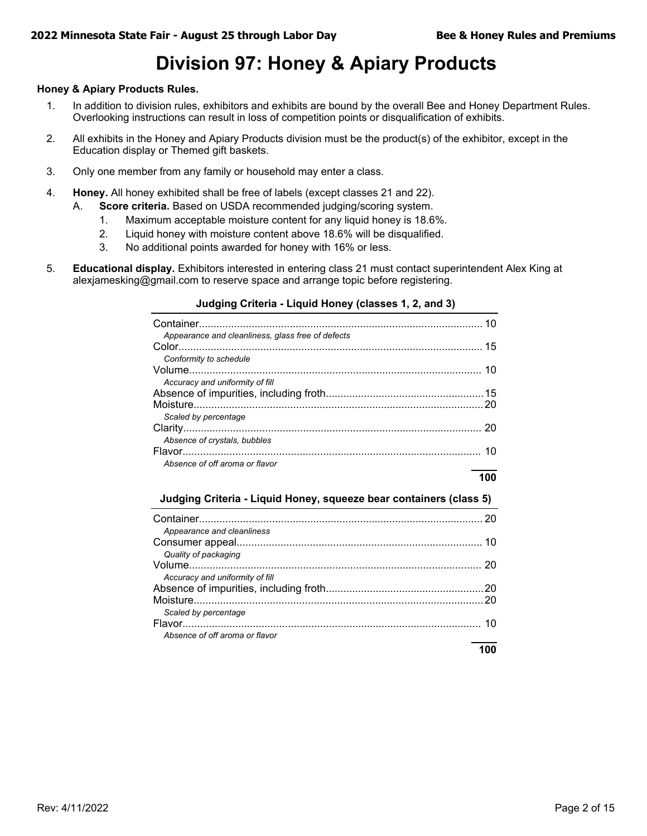## **Division 97: Honey & Apiary Products**

### **Honey & Apiary Products Rules.**

- 1. In addition to division rules, exhibitors and exhibits are bound by the overall Bee and Honey Department Rules. Overlooking instructions can result in loss of competition points or disqualification of exhibits.
- 2. All exhibits in the Honey and Apiary Products division must be the product(s) of the exhibitor, except in the Education display or Themed gift baskets.
- 3. Only one member from any family or household may enter a class.
- 4. **Honey.** All honey exhibited shall be free of labels (except classes 21 and 22).
	- A. **Score criteria.** Based on USDA recommended judging/scoring system.
		- 1. Maximum acceptable moisture content for any liquid honey is 18.6%.
		- 2. Liquid honey with moisture content above 18.6% will be disqualified.
		- 3. No additional points awarded for honey with 16% or less.
- 5. **Educational display.** Exhibitors interested in entering class 21 must contact superintendent Alex King at alexjamesking@gmail.com to reserve space and arrange topic before registering.

### **Judging Criteria - Liquid Honey (classes 1, 2, and 3)**

| Appearance and cleanliness, glass free of defects |    |
|---------------------------------------------------|----|
| Conformity to schedule                            |    |
|                                                   | 10 |
| Accuracy and uniformity of fill                   |    |
|                                                   |    |
|                                                   |    |
| Scaled by percentage                              |    |
|                                                   | 20 |
| Absence of crystals, bubbles                      |    |
|                                                   | 10 |
| Absence of off aroma or flavor                    |    |

### **100**

### **Judging Criteria - Liquid Honey, squeeze bear containers (class 5)**

|                                 | 20 |
|---------------------------------|----|
| Appearance and cleanliness      |    |
|                                 | 10 |
| Quality of packaging            |    |
|                                 | 20 |
| Accuracy and uniformity of fill |    |
|                                 |    |
|                                 |    |
| Scaled by percentage            |    |
|                                 | 10 |
| Absence of off aroma or flavor  |    |
|                                 |    |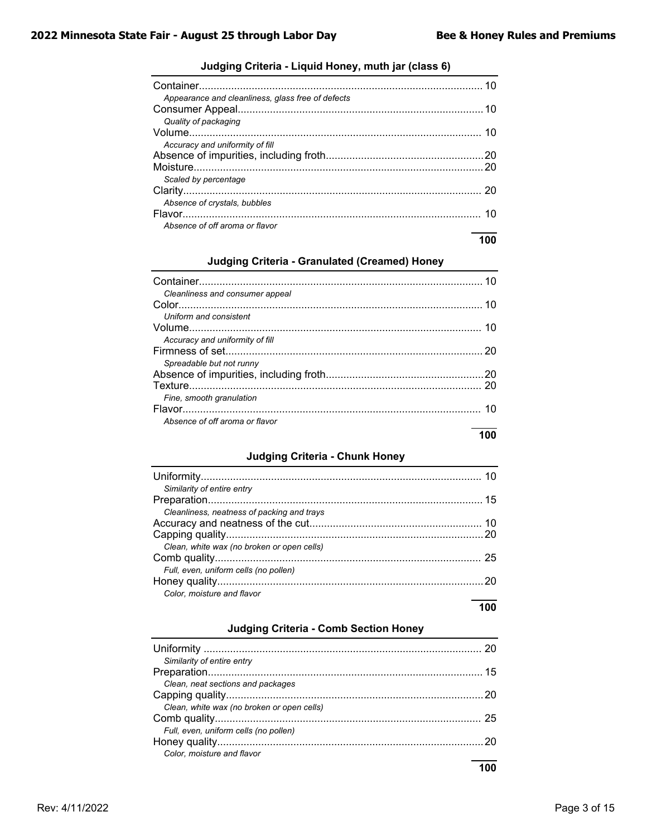| Appearance and cleanliness, glass free of defects |     |
|---------------------------------------------------|-----|
|                                                   |     |
| Quality of packaging                              |     |
|                                                   |     |
| Accuracy and uniformity of fill                   |     |
|                                                   | .20 |
|                                                   |     |
| Scaled by percentage                              |     |
|                                                   | 20  |
| Absence of crystals, bubbles                      |     |
|                                                   | 10  |
| Absence of off aroma or flavor                    |     |
|                                                   |     |

### **Judging Criteria - Liquid Honey, muth jar (class 6)**

### **Judging Criteria - Granulated (Creamed) Honey**

| Cleanliness and consumer appeal |    |
|---------------------------------|----|
|                                 | 10 |
| Uniform and consistent          |    |
|                                 |    |
| Accuracy and uniformity of fill |    |
|                                 | 20 |
| Spreadable but not runny        |    |
|                                 |    |
|                                 |    |
| Fine, smooth granulation        |    |
|                                 | 10 |
| Absence of off aroma or flavor  |    |

### **100**

### **Judging Criteria - Chunk Honey**

| Similarity of entire entry                 |
|--------------------------------------------|
|                                            |
| Cleanliness, neatness of packing and trays |
|                                            |
|                                            |
| Clean, white wax (no broken or open cells) |
|                                            |
| Full, even, uniform cells (no pollen)      |
| 20                                         |
| Color, moisture and flavor                 |
|                                            |

### **Judging Criteria - Comb Section Honey**

| Similarity of entire entry                 |  |
|--------------------------------------------|--|
|                                            |  |
| Clean, neat sections and packages          |  |
|                                            |  |
| Clean, white wax (no broken or open cells) |  |
|                                            |  |
| Full, even, uniform cells (no pollen)      |  |
|                                            |  |
| Color, moisture and flavor                 |  |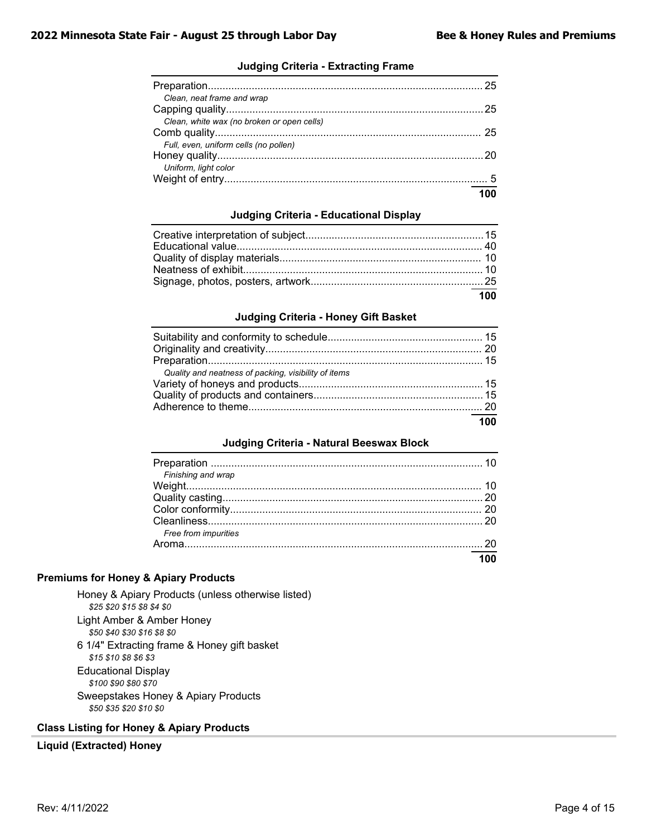### **Judging Criteria - Extracting Frame**

| Clean, neat frame and wrap                 |     |
|--------------------------------------------|-----|
|                                            |     |
| Clean, white wax (no broken or open cells) |     |
|                                            |     |
| Full, even, uniform cells (no pollen)      |     |
|                                            |     |
| Uniform, light color                       |     |
|                                            |     |
|                                            | 100 |

### **Judging Criteria - Educational Display**

| 100 |
|-----|

### **Judging Criteria - Honey Gift Basket**

| Quality and neatness of packing, visibility of items |  |
|------------------------------------------------------|--|
|                                                      |  |
|                                                      |  |
|                                                      |  |
|                                                      |  |

### **Judging Criteria - Natural Beeswax Block**

| Finishing and wrap   |  |
|----------------------|--|
|                      |  |
|                      |  |
|                      |  |
| Free from impurities |  |
|                      |  |
|                      |  |

### **Premiums for Honey & Apiary Products**

- Honey & Apiary Products (unless otherwise listed) *\$25 \$20 \$15 \$8 \$4 \$0* Light Amber & Amber Honey *\$50 \$40 \$30 \$16 \$8 \$0*
- 6 1/4" Extracting frame & Honey gift basket *\$15 \$10 \$8 \$6 \$3* Educational Display *\$100 \$90 \$80 \$70* Sweepstakes Honey & Apiary Products *\$50 \$35 \$20 \$10 \$0*

### **Class Listing for Honey & Apiary Products**

### **Liquid (Extracted) Honey**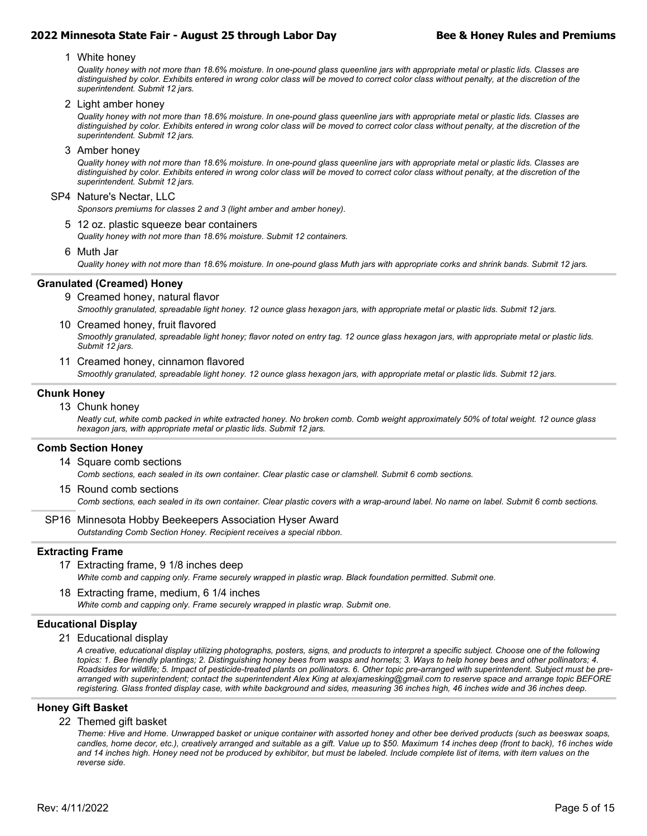1 White honey

*Quality honey with not more than 18.6% moisture. In one-pound glass queenline jars with appropriate metal or plastic lids. Classes are distinguished by color. Exhibits entered in wrong color class will be moved to correct color class without penalty, at the discretion of the superintendent. Submit 12 jars.*

2 Light amber honey

*Quality honey with not more than 18.6% moisture. In one-pound glass queenline jars with appropriate metal or plastic lids. Classes are distinguished by color. Exhibits entered in wrong color class will be moved to correct color class without penalty, at the discretion of the superintendent. Submit 12 jars.*

3 Amber honey

*Quality honey with not more than 18.6% moisture. In one-pound glass queenline jars with appropriate metal or plastic lids. Classes are distinguished by color. Exhibits entered in wrong color class will be moved to correct color class without penalty, at the discretion of the superintendent. Submit 12 jars.*

#### SP4 Nature's Nectar, LLC

*Sponsors premiums for classes 2 and 3 (light amber and amber honey).*

5 12 oz. plastic squeeze bear containers

*Quality honey with not more than 18.6% moisture. Submit 12 containers.*

6 Muth Jar

*Quality honey with not more than 18.6% moisture. In one-pound glass Muth jars with appropriate corks and shrink bands. Submit 12 jars.*

#### **Granulated (Creamed) Honey**

- *Smoothly granulated, spreadable light honey. 12 ounce glass hexagon jars, with appropriate metal or plastic lids. Submit 12 jars.* 9 Creamed honey, natural flavor
- *Smoothly granulated, spreadable light honey; flavor noted on entry tag. 12 ounce glass hexagon jars, with appropriate metal or plastic lids. Submit 12 jars.* 10 Creamed honey, fruit flavored
- *Smoothly granulated, spreadable light honey. 12 ounce glass hexagon jars, with appropriate metal or plastic lids. Submit 12 jars.* 11 Creamed honey, cinnamon flavored

#### **Chunk Honey**

13 Chunk honey

*Neatly cut, white comb packed in white extracted honey. No broken comb. Comb weight approximately 50% of total weight. 12 ounce glass hexagon jars, with appropriate metal or plastic lids. Submit 12 jars.*

#### **Comb Section Honey**

- *Comb sections, each sealed in its own container. Clear plastic case or clamshell. Submit 6 comb sections.* 14 Square comb sections
- *Comb sections, each sealed in its own container. Clear plastic covers with a wrap-around label. No name on label. Submit 6 comb sections.* 15 Round comb sections
- *Outstanding Comb Section Honey. Recipient receives a special ribbon.* SP16 Minnesota Hobby Beekeepers Association Hyser Award

#### **Extracting Frame**

- *White comb and capping only. Frame securely wrapped in plastic wrap. Black foundation permitted. Submit one.* 17 Extracting frame, 9 1/8 inches deep
- *White comb and capping only. Frame securely wrapped in plastic wrap. Submit one.* 18 Extracting frame, medium, 6 1/4 inches

#### **Educational Display**

21 Educational display

*A creative, educational display utilizing photographs, posters, signs, and products to interpret a specific subject. Choose one of the following topics: 1. Bee friendly plantings; 2. Distinguishing honey bees from wasps and hornets; 3. Ways to help honey bees and other pollinators; 4. Roadsides for wildlife; 5. Impact of pesticide-treated plants on pollinators. 6. Other topic pre-arranged with superintendent. Subject must be prearranged with superintendent; contact the superintendent Alex King at alexjamesking@gmail.com to reserve space and arrange topic BEFORE registering. Glass fronted display case, with white background and sides, measuring 36 inches high, 46 inches wide and 36 inches deep.*

#### **Honey Gift Basket**

#### 22 Themed gift basket

*Theme: Hive and Home. Unwrapped basket or unique container with assorted honey and other bee derived products (such as beeswax soaps, candles, home decor, etc.), creatively arranged and suitable as a gift. Value up to \$50. Maximum 14 inches deep (front to back), 16 inches wide and 14 inches high. Honey need not be produced by exhibitor, but must be labeled. Include complete list of items, with item values on the reverse side.*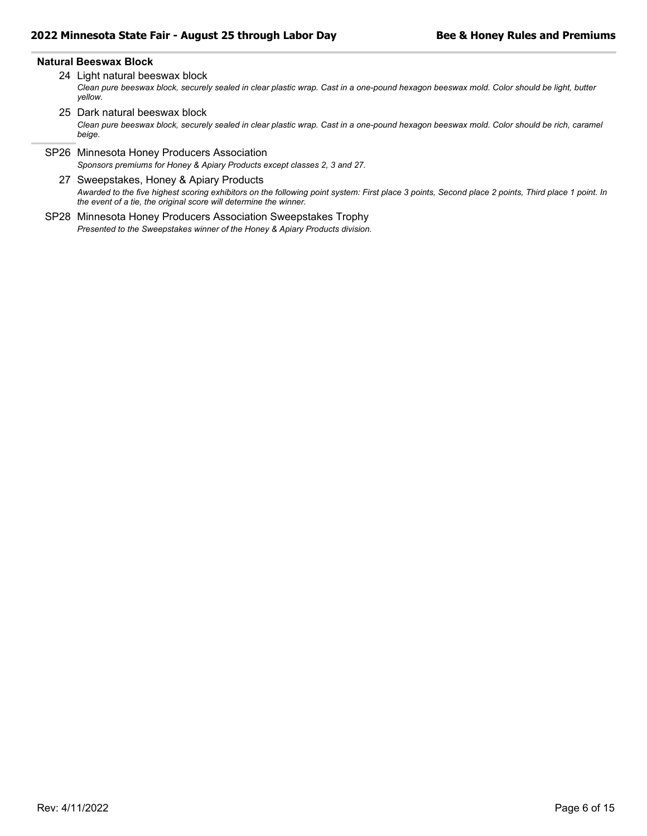#### **Natural Beeswax Block**

- *Clean pure beeswax block, securely sealed in clear plastic wrap. Cast in a one-pound hexagon beeswax mold. Color should be light, butter yellow.* 24 Light natural beeswax block
- *Clean pure beeswax block, securely sealed in clear plastic wrap. Cast in a one-pound hexagon beeswax mold. Color should be rich, caramel beige.* 25 Dark natural beeswax block
- *Sponsors premiums for Honey & Apiary Products except classes 2, 3 and 27.* SP26 Minnesota Honey Producers Association
	- *Awarded to the five highest scoring exhibitors on the following point system: First place 3 points, Second place 2 points, Third place 1 point. In the event of a tie, the original score will determine the winner.* 27 Sweepstakes, Honey & Apiary Products
- *Presented to the Sweepstakes winner of the Honey & Apiary Products division.* SP28 Minnesota Honey Producers Association Sweepstakes Trophy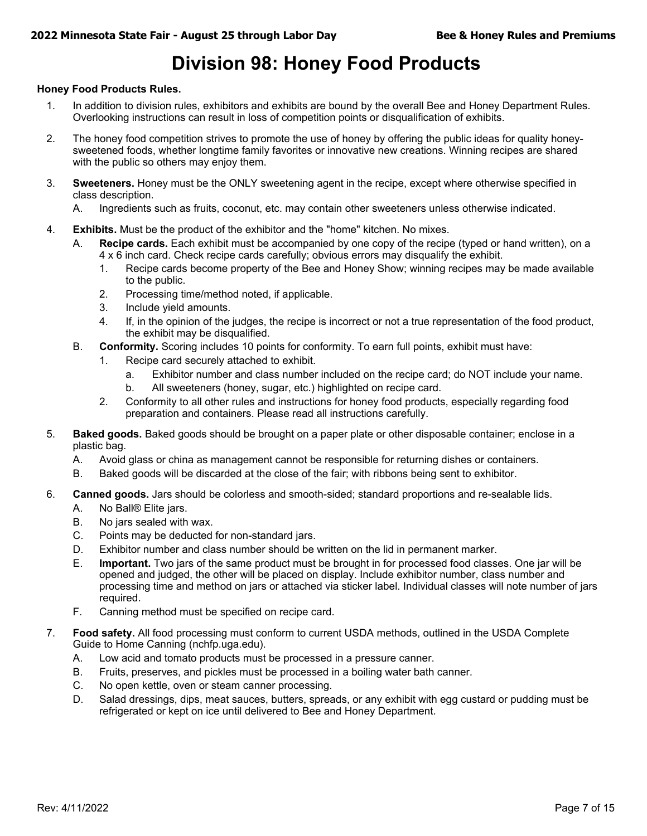## **Division 98: Honey Food Products**

### **Honey Food Products Rules.**

- 1. In addition to division rules, exhibitors and exhibits are bound by the overall Bee and Honey Department Rules. Overlooking instructions can result in loss of competition points or disqualification of exhibits.
- 2. The honey food competition strives to promote the use of honey by offering the public ideas for quality honeysweetened foods, whether longtime family favorites or innovative new creations. Winning recipes are shared with the public so others may enjoy them.
- 3. **Sweeteners.** Honey must be the ONLY sweetening agent in the recipe, except where otherwise specified in class description.
	- A. Ingredients such as fruits, coconut, etc. may contain other sweeteners unless otherwise indicated.
- 4. **Exhibits.** Must be the product of the exhibitor and the "home" kitchen. No mixes.
	- A. **Recipe cards.** Each exhibit must be accompanied by one copy of the recipe (typed or hand written), on a 4 x 6 inch card. Check recipe cards carefully; obvious errors may disqualify the exhibit.
		- 1. Recipe cards become property of the Bee and Honey Show; winning recipes may be made available to the public.
		- 2. Processing time/method noted, if applicable.
		- 3. Include yield amounts.
		- 4. If, in the opinion of the judges, the recipe is incorrect or not a true representation of the food product, the exhibit may be disqualified.
	- B. **Conformity.** Scoring includes 10 points for conformity. To earn full points, exhibit must have:
		- 1. Recipe card securely attached to exhibit.
			- a. Exhibitor number and class number included on the recipe card; do NOT include your name.
			- b. All sweeteners (honey, sugar, etc.) highlighted on recipe card.
		- 2. Conformity to all other rules and instructions for honey food products, especially regarding food preparation and containers. Please read all instructions carefully.
- 5. **Baked goods.** Baked goods should be brought on a paper plate or other disposable container; enclose in a plastic bag.
	- A. Avoid glass or china as management cannot be responsible for returning dishes or containers.
	- B. Baked goods will be discarded at the close of the fair; with ribbons being sent to exhibitor.
- 6. **Canned goods.** Jars should be colorless and smooth-sided; standard proportions and re-sealable lids.
	- A. No Ball® Elite jars.
	- B. No jars sealed with wax.
	- C. Points may be deducted for non-standard jars.
	- D. Exhibitor number and class number should be written on the lid in permanent marker.
	- E. **Important.** Two jars of the same product must be brought in for processed food classes. One jar will be opened and judged, the other will be placed on display. Include exhibitor number, class number and processing time and method on jars or attached via sticker label. Individual classes will note number of jars required.
	- F. Canning method must be specified on recipe card.
- 7. **Food safety.** All food processing must conform to current USDA methods, outlined in the USDA Complete Guide to Home Canning (nchfp.uga.edu).
	- A. Low acid and tomato products must be processed in a pressure canner.
	- B. Fruits, preserves, and pickles must be processed in a boiling water bath canner.
	- C. No open kettle, oven or steam canner processing.
	- D. Salad dressings, dips, meat sauces, butters, spreads, or any exhibit with egg custard or pudding must be refrigerated or kept on ice until delivered to Bee and Honey Department.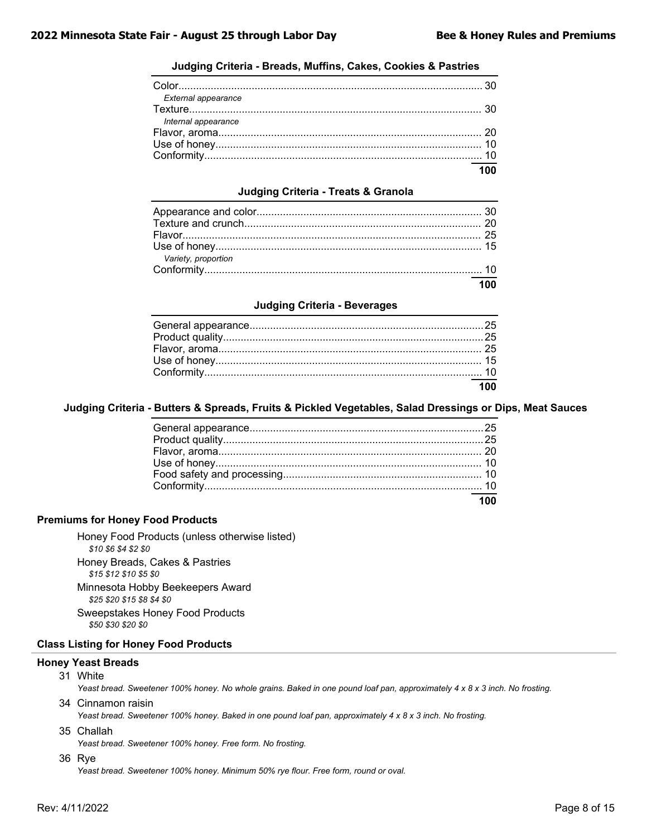### **Judging Criteria - Breads, Muffins, Cakes, Cookies & Pastries**

|                     | $\overline{100}$ |
|---------------------|------------------|
|                     |                  |
|                     |                  |
|                     |                  |
| Internal appearance |                  |
|                     |                  |
| External appearance |                  |
|                     |                  |

### **Judging Criteria - Treats & Granola**

| Variety, proportion |                  |
|---------------------|------------------|
|                     |                  |
|                     | $\overline{100}$ |

#### **Judging Criteria - Beverages**

| $\overline{100}$ |
|------------------|

### **Judging Criteria - Butters & Spreads, Fruits & Pickled Vegetables, Salad Dressings or Dips, Meat Sauces**

#### **Premiums for Honey Food Products**

Honey Food Products (unless otherwise listed) *\$10 \$6 \$4 \$2 \$0* Honey Breads, Cakes & Pastries *\$15 \$12 \$10 \$5 \$0* Minnesota Hobby Beekeepers Award

*\$25 \$20 \$15 \$8 \$4 \$0* Sweepstakes Honey Food Products *\$50 \$30 \$20 \$0*

### **Class Listing for Honey Food Products**

### **Honey Yeast Breads**

31 White

*Yeast bread. Sweetener 100% honey. No whole grains. Baked in one pound loaf pan, approximately 4 x 8 x 3 inch. No frosting.*

34 Cinnamon raisin

*Yeast bread. Sweetener 100% honey. Baked in one pound loaf pan, approximately 4 x 8 x 3 inch. No frosting.*

35 Challah

*Yeast bread. Sweetener 100% honey. Free form. No frosting.*

36 Rye

*Yeast bread. Sweetener 100% honey. Minimum 50% rye flour. Free form, round or oval.*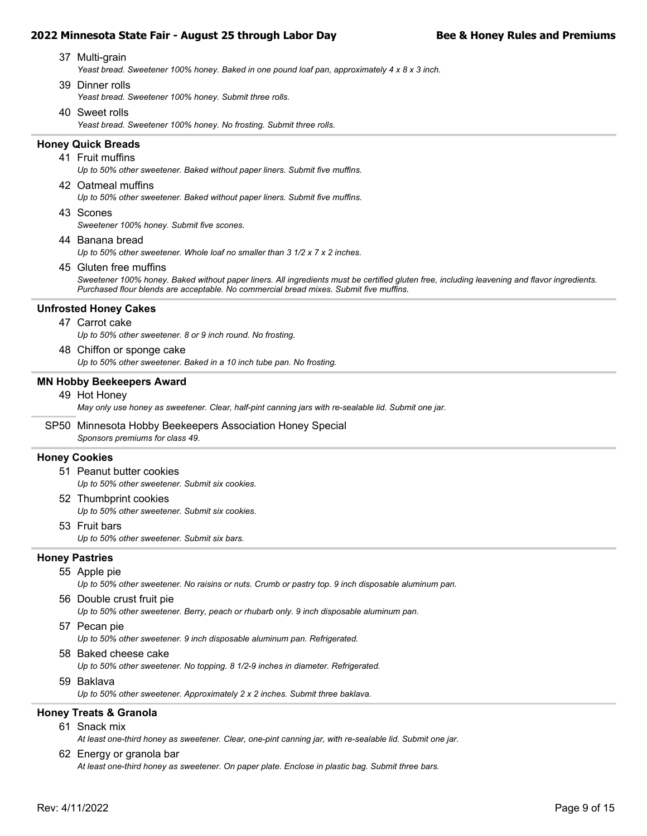- *Yeast bread. Sweetener 100% honey. Baked in one pound loaf pan, approximately 4 x 8 x 3 inch.* 37 Multi-grain
- *Yeast bread. Sweetener 100% honey. Submit three rolls.* 39 Dinner rolls
- *Yeast bread. Sweetener 100% honey. No frosting. Submit three rolls.* 40 Sweet rolls

### **Honey Quick Breads**

- *Up to 50% other sweetener. Baked without paper liners. Submit five muffins.* 41 Fruit muffins
- 42 Oatmeal muffins

*Up to 50% other sweetener. Baked without paper liners. Submit five muffins.*

43 Scones

*Sweetener 100% honey. Submit five scones.*

44 Banana bread

*Up to 50% other sweetener. Whole loaf no smaller than 3 1/2 x 7 x 2 inches.*

45 Gluten free muffins

*Sweetener 100% honey. Baked without paper liners. All ingredients must be certified gluten free, including leavening and flavor ingredients. Purchased flour blends are acceptable. No commercial bread mixes. Submit five muffins.*

### **Unfrosted Honey Cakes**

### 47 Carrot cake

*Up to 50% other sweetener. 8 or 9 inch round. No frosting.*

*Up to 50% other sweetener. Baked in a 10 inch tube pan. No frosting.* 48 Chiffon or sponge cake

### **MN Hobby Beekeepers Award**

49 Hot Honey

*May only use honey as sweetener. Clear, half-pint canning jars with re-sealable lid. Submit one jar.*

*Sponsors premiums for class 49.* SP50 Minnesota Hobby Beekeepers Association Honey Special

### **Honey Cookies**

- *Up to 50% other sweetener. Submit six cookies.* 51 Peanut butter cookies
- *Up to 50% other sweetener. Submit six cookies.* 52 Thumbprint cookies
- *Up to 50% other sweetener. Submit six bars.* 53 Fruit bars

### **Honey Pastries**

55 Apple pie

*Up to 50% other sweetener. No raisins or nuts. Crumb or pastry top. 9 inch disposable aluminum pan.*

*Up to 50% other sweetener. Berry, peach or rhubarb only. 9 inch disposable aluminum pan.* 56 Double crust fruit pie

### 57 Pecan pie

*Up to 50% other sweetener. 9 inch disposable aluminum pan. Refrigerated.*

58 Baked cheese cake

*Up to 50% other sweetener. No topping. 8 1/2-9 inches in diameter. Refrigerated.*

59 Baklava

*Up to 50% other sweetener. Approximately 2 x 2 inches. Submit three baklava.*

### **Honey Treats & Granola**

### 61 Snack mix

*At least one-third honey as sweetener. Clear, one-pint canning jar, with re-sealable lid. Submit one jar.*

### 62 Energy or granola bar

*At least one-third honey as sweetener. On paper plate. Enclose in plastic bag. Submit three bars.*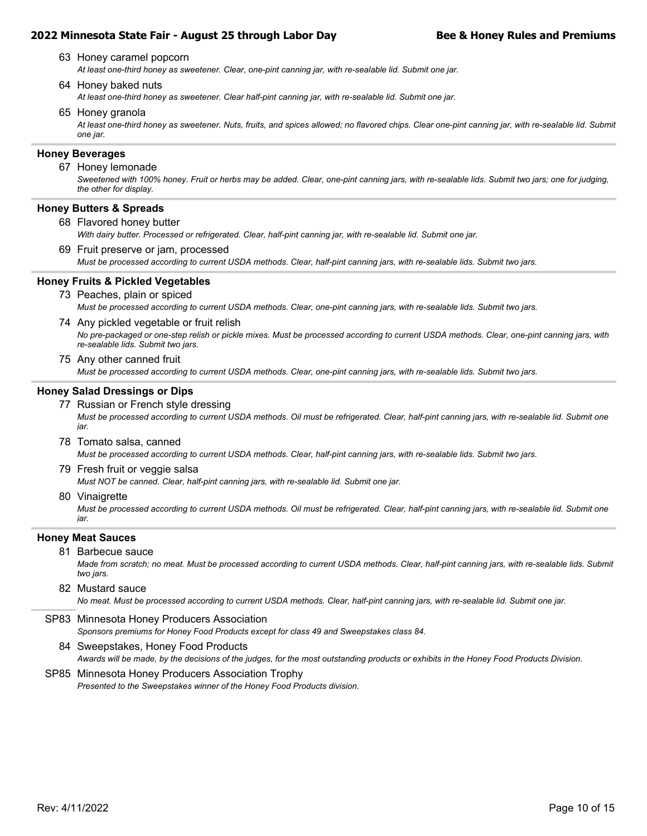- *At least one-third honey as sweetener. Clear, one-pint canning jar, with re-sealable lid. Submit one jar.* 63 Honey caramel popcorn
- 64 Honey baked nuts
	- *At least one-third honey as sweetener. Clear half-pint canning jar, with re-sealable lid. Submit one jar.*
- 65 Honey granola

*At least one-third honey as sweetener. Nuts, fruits, and spices allowed; no flavored chips. Clear one-pint canning jar, with re-sealable lid. Submit one jar.*

#### **Honey Beverages**

#### 67 Honey lemonade

*Sweetened with 100% honey. Fruit or herbs may be added. Clear, one-pint canning jars, with re-sealable lids. Submit two jars; one for judging, the other for display.*

### **Honey Butters & Spreads**

68 Flavored honey butter

*With dairy butter. Processed or refrigerated. Clear, half-pint canning jar, with re-sealable lid. Submit one jar.*

*Must be processed according to current USDA methods. Clear, half-pint canning jars, with re-sealable lids. Submit two jars.* 69 Fruit preserve or jam, processed

### **Honey Fruits & Pickled Vegetables**

- *Must be processed according to current USDA methods. Clear, one-pint canning jars, with re-sealable lids. Submit two jars.* 73 Peaches, plain or spiced
- *No pre-packaged or one-step relish or pickle mixes. Must be processed according to current USDA methods. Clear, one-pint canning jars, with re-sealable lids. Submit two jars.* 74 Any pickled vegetable or fruit relish
- *Must be processed according to current USDA methods. Clear, one-pint canning jars, with re-sealable lids. Submit two jars.* 75 Any other canned fruit

### **Honey Salad Dressings or Dips**

- *Must be processed according to current USDA methods. Oil must be refrigerated. Clear, half-pint canning jars, with re-sealable lid. Submit one jar.* 77 Russian or French style dressing
- *Must be processed according to current USDA methods. Clear, half-pint canning jars, with re-sealable lids. Submit two jars.* 78 Tomato salsa, canned
- *Must NOT be canned. Clear, half-pint canning jars, with re-sealable lid. Submit one jar.* 79 Fresh fruit or veggie salsa
- 80 Vinaigrette

*Must be processed according to current USDA methods. Oil must be refrigerated. Clear, half-pint canning jars, with re-sealable lid. Submit one jar.*

### **Honey Meat Sauces**

81 Barbecue sauce

*Made from scratch; no meat. Must be processed according to current USDA methods. Clear, half-pint canning jars, with re-sealable lids. Submit two jars.*

### 82 Mustard sauce

*No meat. Must be processed according to current USDA methods. Clear, half-pint canning jars, with re-sealable lid. Submit one jar.*

- *Sponsors premiums for Honey Food Products except for class 49 and Sweepstakes class 84.* SP83 Minnesota Honey Producers Association
- *Awards will be made, by the decisions of the judges, for the most outstanding products or exhibits in the Honey Food Products Division.* 84 Sweepstakes, Honey Food Products
- *Presented to the Sweepstakes winner of the Honey Food Products division.* SP85 Minnesota Honey Producers Association Trophy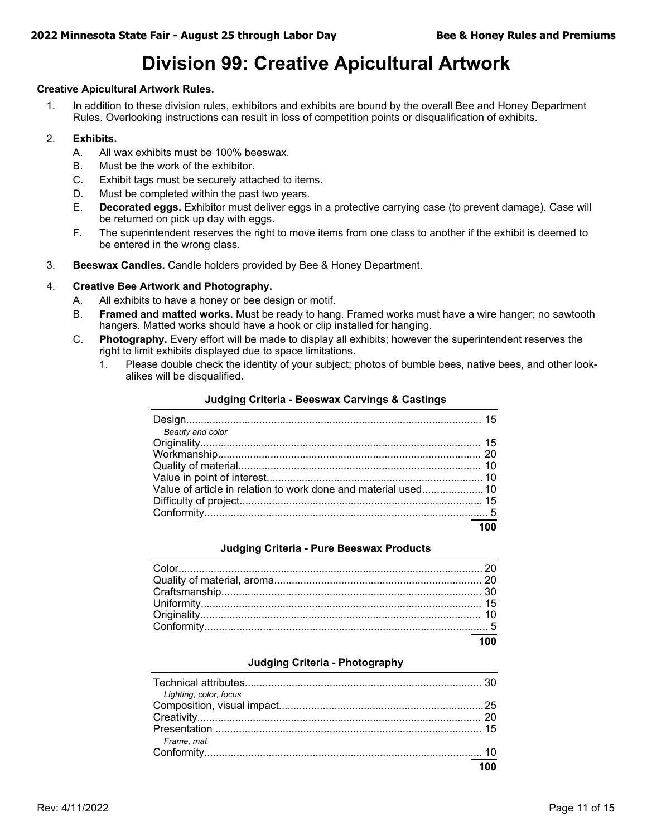## **Division 99: Creative Apicultural Artwork**

### **Creative Apicultural Artwork Rules.**

1. In addition to these division rules, exhibitors and exhibits are bound by the overall Bee and Honey Department Rules. Overlooking instructions can result in loss of competition points or disqualification of exhibits.

### 2. **Exhibits.**

- A. All wax exhibits must be 100% beeswax.
- B. Must be the work of the exhibitor.
- C. Exhibit tags must be securely attached to items.
- D. Must be completed within the past two years.
- E. **Decorated eggs.** Exhibitor must deliver eggs in a protective carrying case (to prevent damage). Case will be returned on pick up day with eggs.
- F. The superintendent reserves the right to move items from one class to another if the exhibit is deemed to be entered in the wrong class.
- 3. **Beeswax Candles.** Candle holders provided by Bee & Honey Department.

### 4. **Creative Bee Artwork and Photography.**

- A. All exhibits to have a honey or bee design or motif.
- B. **Framed and matted works.** Must be ready to hang. Framed works must have a wire hanger; no sawtooth hangers. Matted works should have a hook or clip installed for hanging.
- C. **Photography.** Every effort will be made to display all exhibits; however the superintendent reserves the right to limit exhibits displayed due to space limitations.
	- 1. Please double check the identity of your subject; photos of bumble bees, native bees, and other lookalikes will be disqualified.

| Beauty and color |  |
|------------------|--|
|                  |  |
|                  |  |
|                  |  |
|                  |  |
|                  |  |
|                  |  |
|                  |  |
|                  |  |

### **Judging Criteria - Beeswax Carvings & Castings**

### **Judging Criteria - Pure Beeswax Products**

### **Judging Criteria - Photography**

| Lighting, color, focus |                  |
|------------------------|------------------|
|                        |                  |
|                        |                  |
|                        |                  |
| Frame, mat             |                  |
|                        |                  |
|                        | $\overline{100}$ |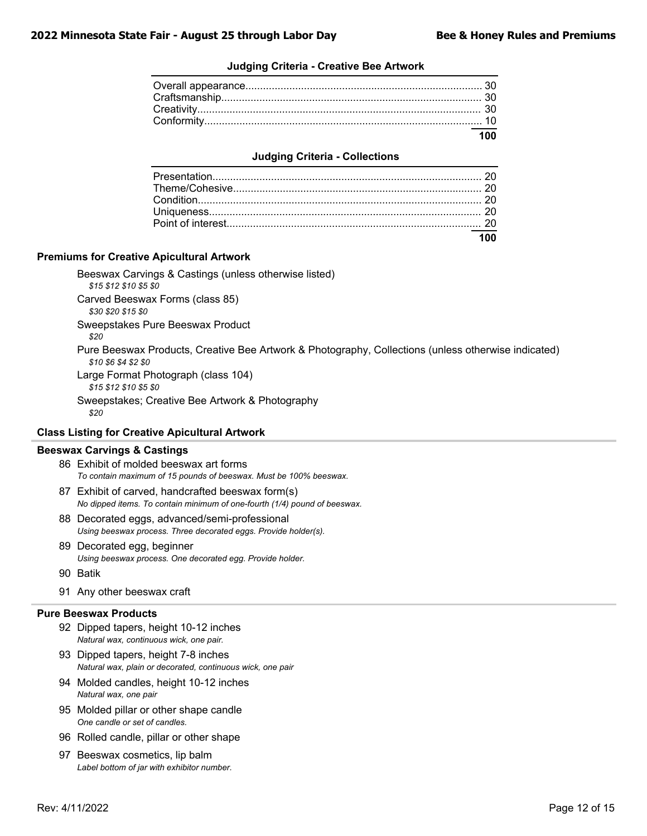### **Judging Criteria - Creative Bee Artwork**

### **Judging Criteria - Collections**

### **Premiums for Creative Apicultural Artwork**

Beeswax Carvings & Castings (unless otherwise listed) *\$15 \$12 \$10 \$5 \$0* Carved Beeswax Forms (class 85) *\$30 \$20 \$15 \$0* Sweepstakes Pure Beeswax Product *\$20*

Pure Beeswax Products, Creative Bee Artwork & Photography, Collections (unless otherwise indicated) *\$10 \$6 \$4 \$2 \$0*

Large Format Photograph (class 104)

*\$15 \$12 \$10 \$5 \$0*

Sweepstakes; Creative Bee Artwork & Photography

*\$20*

### **Class Listing for Creative Apicultural Artwork**

#### **Beeswax Carvings & Castings**

*To contain maximum of 15 pounds of beeswax. Must be 100% beeswax.* 86 Exhibit of molded beeswax art forms

- *No dipped items. To contain minimum of one-fourth (1/4) pound of beeswax.* 87 Exhibit of carved, handcrafted beeswax form(s)
- *Using beeswax process. Three decorated eggs. Provide holder(s).* 88 Decorated eggs, advanced/semi-professional
- *Using beeswax process. One decorated egg. Provide holder.* 89 Decorated egg, beginner
- 90 Batik
- 91 Any other beeswax craft

#### **Pure Beeswax Products**

- *Natural wax, continuous wick, one pair.* 92 Dipped tapers, height 10-12 inches
- *Natural wax, plain or decorated, continuous wick, one pair* 93 Dipped tapers, height 7-8 inches
- *Natural wax, one pair* 94 Molded candles, height 10-12 inches
- *One candle or set of candles.* 95 Molded pillar or other shape candle
- 96 Rolled candle, pillar or other shape
- *Label bottom of jar with exhibitor number.* 97 Beeswax cosmetics, lip balm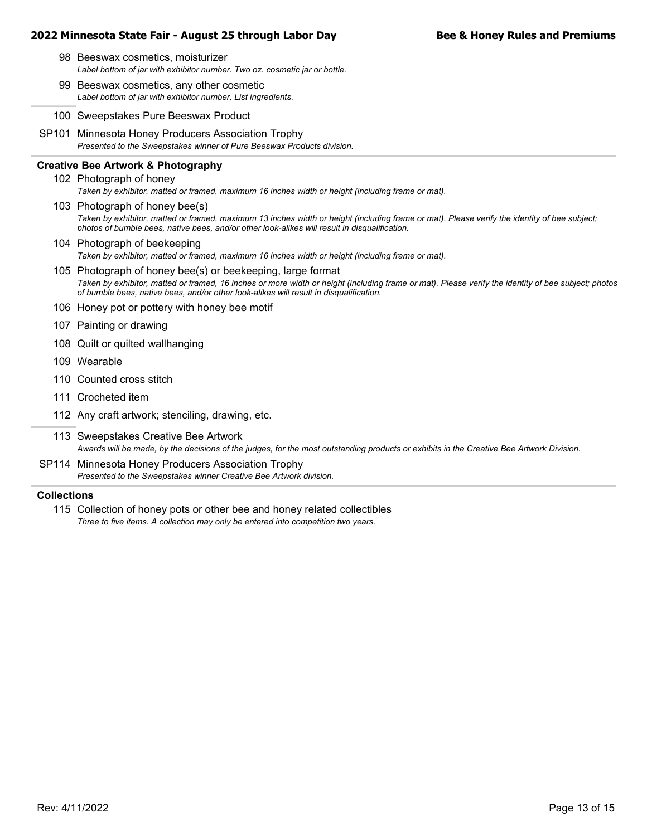- *Label bottom of jar with exhibitor number. Two oz. cosmetic jar or bottle.* 98 Beeswax cosmetics, moisturizer
- *Label bottom of jar with exhibitor number. List ingredients.* 99 Beeswax cosmetics, any other cosmetic
- 100 Sweepstakes Pure Beeswax Product
- *Presented to the Sweepstakes winner of Pure Beeswax Products division.* SP101 Minnesota Honey Producers Association Trophy

### **Creative Bee Artwork & Photography**

- *Taken by exhibitor, matted or framed, maximum 16 inches width or height (including frame or mat).* 102 Photograph of honey
- *Taken by exhibitor, matted or framed, maximum 13 inches width or height (including frame or mat). Please verify the identity of bee subject; photos of bumble bees, native bees, and/or other look-alikes will result in disqualification.* 103 Photograph of honey bee(s)
- *Taken by exhibitor, matted or framed, maximum 16 inches width or height (including frame or mat).* 104 Photograph of beekeeping
- *Taken by exhibitor, matted or framed, 16 inches or more width or height (including frame or mat). Please verify the identity of bee subject; photos of bumble bees, native bees, and/or other look-alikes will result in disqualification.* 105 Photograph of honey bee(s) or beekeeping, large format
- 106 Honey pot or pottery with honey bee motif
- 107 Painting or drawing
- 108 Quilt or quilted wallhanging
- 109 Wearable
- 110 Counted cross stitch
- 111 Crocheted item
- 112 Any craft artwork; stenciling, drawing, etc.
- *Awards will be made, by the decisions of the judges, for the most outstanding products or exhibits in the Creative Bee Artwork Division.* 113 Sweepstakes Creative Bee Artwork
- *Presented to the Sweepstakes winner Creative Bee Artwork division.* SP114 Minnesota Honey Producers Association Trophy

### **Collections**

*Three to five items. A collection may only be entered into competition two years.* 115 Collection of honey pots or other bee and honey related collectibles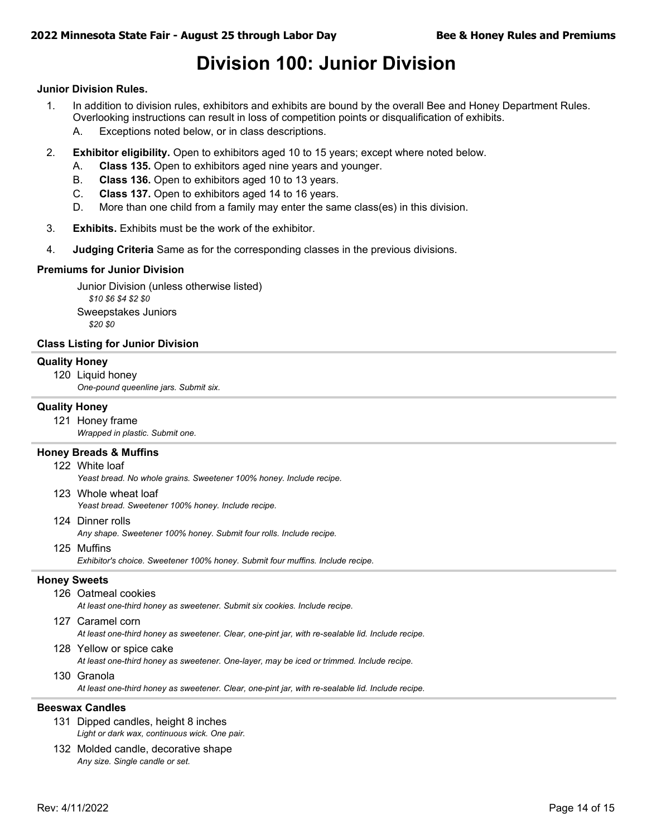## **Division 100: Junior Division**

### **Junior Division Rules.**

- 1. In addition to division rules, exhibitors and exhibits are bound by the overall Bee and Honey Department Rules. Overlooking instructions can result in loss of competition points or disqualification of exhibits.
	- A. Exceptions noted below, or in class descriptions.
- 2. **Exhibitor eligibility.** Open to exhibitors aged 10 to 15 years; except where noted below.
	- A. **Class 135.** Open to exhibitors aged nine years and younger.
	- B. **Class 136.** Open to exhibitors aged 10 to 13 years.
	- C. **Class 137.** Open to exhibitors aged 14 to 16 years.
	- D. More than one child from a family may enter the same class(es) in this division.
- 3. **Exhibits.** Exhibits must be the work of the exhibitor.
- 4. **Judging Criteria** Same as for the corresponding classes in the previous divisions.

#### **Premiums for Junior Division**

Junior Division (unless otherwise listed) *\$10 \$6 \$4 \$2 \$0* Sweepstakes Juniors *\$20 \$0*

### **Class Listing for Junior Division**

### **Quality Honey**

120 Liquid honey

*One-pound queenline jars. Submit six.*

### **Quality Honey**

- 121 Honey frame
	- *Wrapped in plastic. Submit one.*

#### **Honey Breads & Muffins**

122 White loaf

*Yeast bread. No whole grains. Sweetener 100% honey. Include recipe.*

- *Yeast bread. Sweetener 100% honey. Include recipe.* 123 Whole wheat loaf
- 124 Dinner rolls

*Any shape. Sweetener 100% honey. Submit four rolls. Include recipe.*

- 125 Muffins
	- *Exhibitor's choice. Sweetener 100% honey. Submit four muffins. Include recipe.*

### **Honey Sweets**

- *At least one-third honey as sweetener. Submit six cookies. Include recipe.* 126 Oatmeal cookies
- 127 Caramel corn

*At least one-third honey as sweetener. Clear, one-pint jar, with re-sealable lid. Include recipe.*

128 Yellow or spice cake

*At least one-third honey as sweetener. One-layer, may be iced or trimmed. Include recipe.*

130 Granola

*At least one-third honey as sweetener. Clear, one-pint jar, with re-sealable lid. Include recipe.*

#### **Beeswax Candles**

- *Light or dark wax, continuous wick. One pair.* 131 Dipped candles, height 8 inches
- *Any size. Single candle or set.* 132 Molded candle, decorative shape